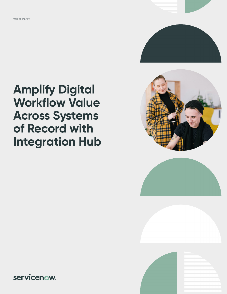

# **Amplify Digital Workflow Value Across Systems of Record with Integration Hub**







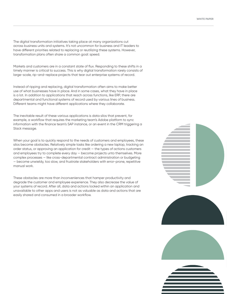The digital transformation initiatives taking place at many organizations cut across business units and systems. It's not uncommon for business and IT leaders to have different priorities related to replacing or reutilizing these systems. However, transformation plans often share a common goal: speed.

Markets and customers are in a constant state of flux. Responding to these shifts in a timely manner is critical to success. This is why digital transformation rarely consists of large-scale, rip-and-replace projects that tear out enterprise systems of record.

Instead of ripping and replacing, digital transformation often aims to make better use of what businesses have in place. And in some cases, what they have in place is a lot. In addition to applications that reach across functions, like ERP, there are departmental and functional systems of record used by various lines of business. Different teams might have different applications where they collaborate.

The inevitable result of these various applications is data silos that prevent, for example, a workflow that requires the marketing team's Adobe platform to sync information with the finance team's SAP instance, or an event in the CRM triggering a Slack message.

When your goal is to quickly respond to the needs of customers and employees, these silos become obstacles. Relatively simple tasks like ordering a new laptop, tracking an order status, or approving an application for credit — the types of actions customers and employees try to complete every day — become projects unto themselves. More complex processes — like cross-departmental contract administration or budgeting — become unwieldy, too slow, and frustrate stakeholders with error-prone, repetitive manual work.

These obstacles are more than inconveniences that hamper productivity and degrade the customer and employee experience. They also decrease the value of your systems of record. After all, data and actions locked within an application and unavailable to other apps and users is not as valuable as data and actions that are easily shared and consumed in a broader workflow.



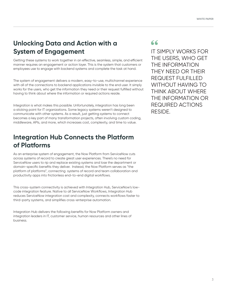## **Unlocking Data and Action with a System of Engagement**

Getting these systems to work together in an effective, seamless, simple, and efficient manner requires an engagement or action layer. This is the system that customers or employees use to engage with backend systems and complete the task at hand.

The system of engagement delivers a modern, easy-to-use, multichannel experience with all of the connections to backend applications invisible to the end user. It simply works for the users, who get the information they need or their request fulfilled without having to think about where the information or required actions reside.

Integration is what makes this possible. Unfortunately, integration has long been a sticking point for IT organizations. Some legacy systems weren't designed to communicate with other systems. As a result, just getting systems to connect becomes a key part of many transformation projects, often involving custom coding, middleware, APIs, and more, which increases cost, complexity, and time to value.

#### **Integration Hub Connects the Platform of Platforms**

As an enterprise system of engagement, the Now Platform from ServiceNow cuts across systems of record to create great user experiences. There's no need for ServiceNow users to rip and replace existing systems and lose the department or domain-specific benefits they deliver. Instead, the Now Platform serves as "the platform of platforms", connecting systems of record and team collaboration and productivity apps into frictionless end-to-end digital workflows.

This cross-system connectivity is achieved with Integration Hub, ServiceNow's lowcode integration feature. Native to all ServiceNow Workflows, Integration Hub reduces ServiceNow integration cost and complexity, connects workflows faster to third-party systems, and simplifies cross-enterprise automation.

Integration Hub delivers the following benefits for Now Platform owners and integration leaders in IT, customer service, human resources and other lines of business.

# 66

IT SIMPLY WORKS FOR THE USERS, WHO GET THE INFORMATION THEY NEED OR THEIR REQUEST FULFILLED WITHOUT HAVING TO THINK ABOUT WHERE THE INFORMATION OR REQUIRED ACTIONS RESIDE.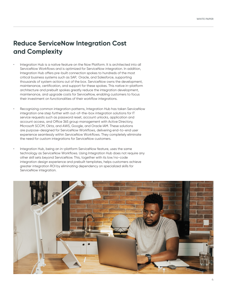## **Reduce ServiceNow Integration Cost and Complexity**

- Integration Hub is a native feature on the Now Platform. It is architected into all ServiceNow Workflows and is optimized for ServiceNow integration. In addition, Integration Hub offers pre-built connection spokes to hundreds of the most critical business systems such as SAP, Oracle, and Salesforce, supporting thousands of system actions out of the box. ServiceNow owns the development, maintenance, certification, and support for these spokes. This native in-platform architecture and prebuilt spokes greatly reduce the integration development, maintenance, and upgrade costs for ServiceNow, enabling customers to focus their investment on functionalities of their workflow integrations.
- Recognizing common integration patterns, Integration Hub has taken ServiceNow integration one step further with out-of-the-box integration solutions for IT service requests such as password reset, account unlocks, application and account access, and Office 365 group management with Active Directory, Microsoft SCCM, Okta, and AWS, Google, and Oracle IAM. These solutions are purpose-designed for ServiceNow Workflows, delivering end-to-end user experience seamlessly within ServiceNow Workflows. They completely eliminate the need for custom integrations for ServiceNow customers.
- Integration Hub, being an in-platform ServiceNow feature, uses the same technology as ServiceNow Workflows. Using Integration Hub does not require any other skill sets beyond ServiceNow. This, together with its low/no-code integration design experience and prebuilt templates, helps customers achieve greater integration ROI by eliminating dependency on specialized skills for ServiceNow integration.

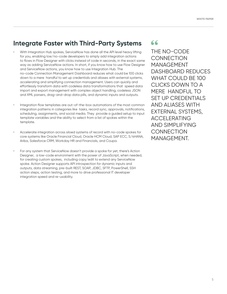## **Integrate Faster with Third-Party Systems**

- With Integration Hub spokes, ServiceNow has done all the API level heavy lifting for you, enabling low/no-code developers to simply add integration actions to flows in Flow Designer with clicks instead of code in seconds, in the exact same way as adding ServiceNow actions. In short, if you know how to use Flow Designer and ServiceNow actions, you know how to use Integration Hub. The no-code Connection Management Dashboard reduces what could be 100 clicks down to a mere handful to set up credentials and aliases with external systems, accelerating and simplifying connection management. Users can quickly and effortlessly transform data with codeless data transformations that speed data import and export management with complex object handling, codeless JSON and XML parsers, drag-and-drop data pills, and dynamic inputs and outputs.
- Integration flow templates are out-of-the-box automations of the most common integration patterns in categories like tasks, record sync, approvals, notifications, scheduling, assignments, and social media. They provide a guided setup to input template variables and the ability to select from a list of spokes within the template.
- Accelerate integration across siloed systems of record with no-code spokes for core systems like Oracle Financial Cloud, Oracle HCM Cloud, SAP ECC, S/4HANA, Ariba, Salesforce CRM, Workday HR and Financials, and Coupa.
- For any system that ServiceNow doesn't provide a spoke for yet, there's Action Designer, a low-code environment with the power of JavaScript, when needed, for creating custom spokes, including copy/edit to extend any ServiceNow spoke. Action Designer supports API introspection for dynamic inputs and outputs, data streaming, pre-built REST, SOAP, JDBC, SFTP, PowerShell, SSH action steps, action testing, and more to drive professional IT developer integration speed and re-usability.

## 66

THE NO-CODE **CONNECTION** MANAGEMENT DASHBOARD REDUCES WHAT COULD BE 100 CLICKS DOWN TO A MERE HANDFUL TO SET UP CREDENTIALS AND ALIASES WITH EXTERNAL SYSTEMS, ACCELERATING AND SIMPLIFYING **CONNECTION** MANAGEMENT.